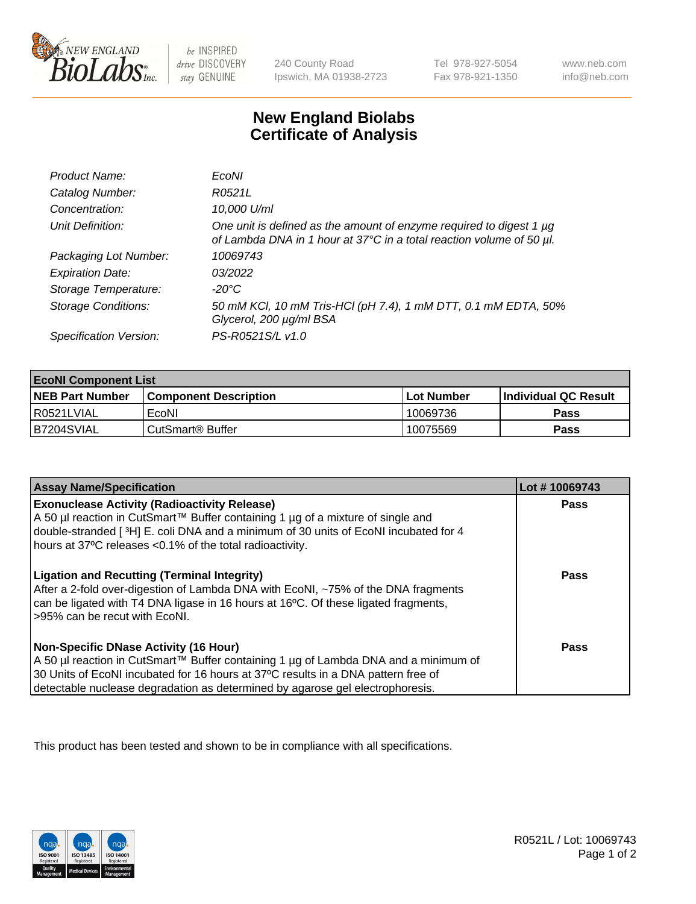

 $be$  INSPIRED drive DISCOVERY stay GENUINE

240 County Road Ipswich, MA 01938-2723 Tel 978-927-5054 Fax 978-921-1350 www.neb.com info@neb.com

## **New England Biolabs Certificate of Analysis**

| Product Name:              | EcoNI                                                                                                                                       |
|----------------------------|---------------------------------------------------------------------------------------------------------------------------------------------|
| Catalog Number:            | R0521L                                                                                                                                      |
| Concentration:             | 10,000 U/ml                                                                                                                                 |
| Unit Definition:           | One unit is defined as the amount of enzyme required to digest 1 µg<br>of Lambda DNA in 1 hour at 37°C in a total reaction volume of 50 µl. |
| Packaging Lot Number:      | 10069743                                                                                                                                    |
| <b>Expiration Date:</b>    | 03/2022                                                                                                                                     |
| Storage Temperature:       | -20°C                                                                                                                                       |
| <b>Storage Conditions:</b> | 50 mM KCl, 10 mM Tris-HCl (pH 7.4), 1 mM DTT, 0.1 mM EDTA, 50%<br>Glycerol, 200 µg/ml BSA                                                   |
| Specification Version:     | PS-R0521S/L v1.0                                                                                                                            |

| <b>EcoNI Component List</b> |                         |              |                             |  |
|-----------------------------|-------------------------|--------------|-----------------------------|--|
| <b>NEB Part Number</b>      | l Component Description | l Lot Number | <b>Individual QC Result</b> |  |
| I R0521LVIAL                | EcoNI                   | 10069736     | <b>Pass</b>                 |  |
| B7204SVIAL                  | l CutSmart® Buffer      | 10075569     | Pass                        |  |

| <b>Assay Name/Specification</b>                                                                                                                                                                                                                                                                           | Lot #10069743 |
|-----------------------------------------------------------------------------------------------------------------------------------------------------------------------------------------------------------------------------------------------------------------------------------------------------------|---------------|
| <b>Exonuclease Activity (Radioactivity Release)</b><br>A 50 µl reaction in CutSmart™ Buffer containing 1 µg of a mixture of single and<br>double-stranded [3H] E. coli DNA and a minimum of 30 units of EcoNI incubated for 4<br>hours at 37°C releases <0.1% of the total radioactivity.                 | Pass          |
| <b>Ligation and Recutting (Terminal Integrity)</b><br>After a 2-fold over-digestion of Lambda DNA with EcoNI, ~75% of the DNA fragments<br>can be ligated with T4 DNA ligase in 16 hours at 16°C. Of these ligated fragments,<br>>95% can be recut with EcoNI.                                            | Pass          |
| <b>Non-Specific DNase Activity (16 Hour)</b><br>A 50 µl reaction in CutSmart™ Buffer containing 1 µg of Lambda DNA and a minimum of<br>30 Units of EcoNI incubated for 16 hours at 37°C results in a DNA pattern free of<br>detectable nuclease degradation as determined by agarose gel electrophoresis. | <b>Pass</b>   |

This product has been tested and shown to be in compliance with all specifications.